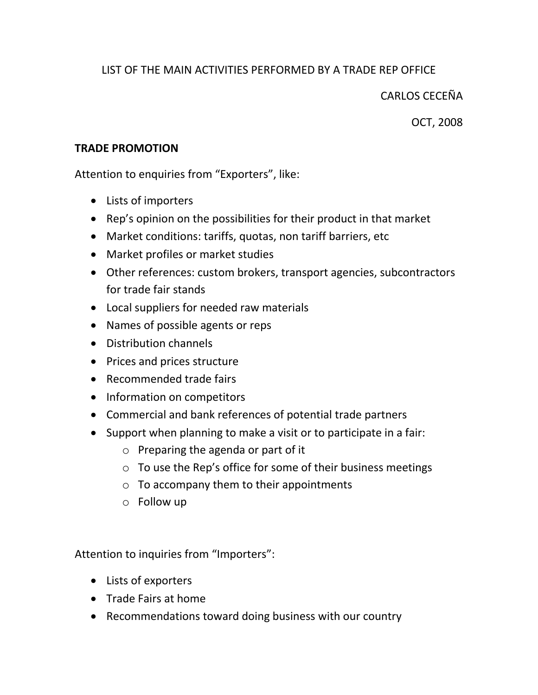## LIST OF THE MAIN ACTIVITIES PERFORMED BY A TRADE REP OFFICE

# CARLOS CECEÑA

## OCT, 2008

#### **TRADE PROMOTION**

Attention to enquiries from "Exporters", like:

- Lists of importers
- Rep's opinion on the possibilities for their product in that market
- Market conditions: tariffs, quotas, non tariff barriers, etc
- Market profiles or market studies
- Other references: custom brokers, transport agencies, subcontractors for trade fair stands
- Local suppliers for needed raw materials
- Names of possible agents or reps
- Distribution channels
- Prices and prices structure
- Recommended trade fairs
- Information on competitors
- Commercial and bank references of potential trade partners
- Support when planning to make a visit or to participate in a fair:
	- o Preparing the agenda or part of it
	- o To use the Rep's office for some of their business meetings
	- o To accompany them to their appointments
	- o Follow up

Attention to inquiries from "Importers":

- Lists of exporters
- Trade Fairs at home
- Recommendations toward doing business with our country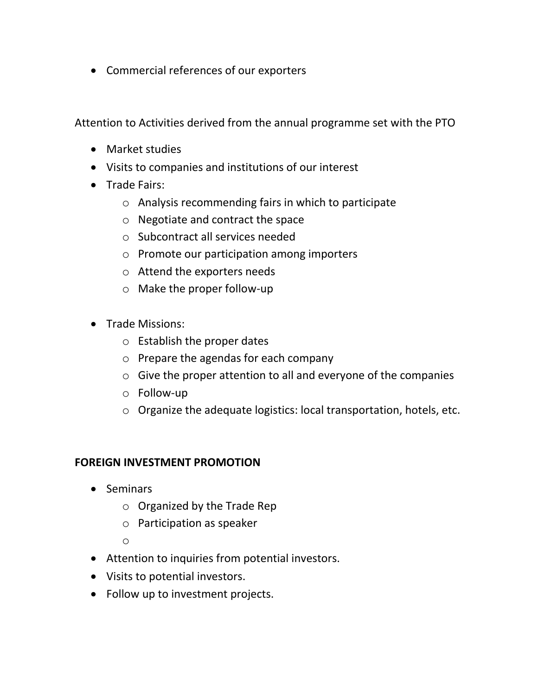Commercial references of our exporters

Attention to Activities derived from the annual programme set with the PTO

- Market studies
- Visits to companies and institutions of our interest
- Trade Fairs:
	- o Analysis recommending fairs in which to participate
	- o Negotiate and contract the space
	- o Subcontract all services needed
	- o Promote our participation among importers
	- o Attend the exporters needs
	- o Make the proper follow-up
- Trade Missions:
	- o Establish the proper dates
	- o Prepare the agendas for each company
	- o Give the proper attention to all and everyone of the companies
	- o Follow-up
	- o Organize the adequate logistics: local transportation, hotels, etc.

#### **FOREIGN INVESTMENT PROMOTION**

- Seminars
	- o Organized by the Trade Rep
	- o Participation as speaker

o

- Attention to inquiries from potential investors.
- Visits to potential investors.
- Follow up to investment projects.